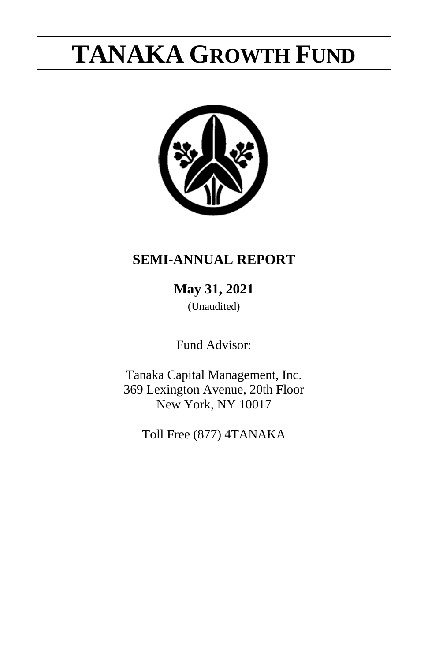

## **SEMI-ANNUAL REPORT**

**May 31, 2021**

(Unaudited)

Fund Advisor:

Tanaka Capital Management, Inc. 369 Lexington Avenue, 20th Floor New York, NY 10017

Toll Free (877) 4TANAKA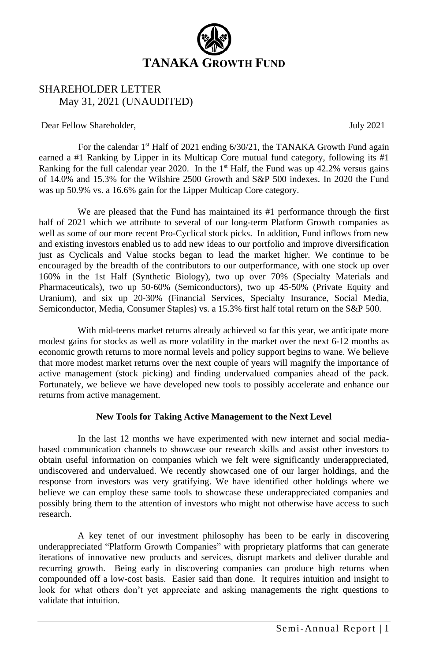

## SHAREHOLDER LETTER May 31, 2021 (UNAUDITED)

Dear Fellow Shareholder,  $July 2021$ 

For the calendar 1<sup>st</sup> Half of 2021 ending 6/30/21, the TANAKA Growth Fund again earned a #1 Ranking by Lipper in its Multicap Core mutual fund category, following its #1 Ranking for the full calendar year 2020. In the  $1<sup>st</sup>$  Half, the Fund was up 42.2% versus gains of 14.0% and 15.3% for the Wilshire 2500 Growth and S&P 500 indexes. In 2020 the Fund was up 50.9% vs. a 16.6% gain for the Lipper Multicap Core category.

We are pleased that the Fund has maintained its #1 performance through the first half of 2021 which we attribute to several of our long-term Platform Growth companies as well as some of our more recent Pro-Cyclical stock picks. In addition, Fund inflows from new and existing investors enabled us to add new ideas to our portfolio and improve diversification just as Cyclicals and Value stocks began to lead the market higher. We continue to be encouraged by the breadth of the contributors to our outperformance, with one stock up over 160% in the 1st Half (Synthetic Biology), two up over 70% (Specialty Materials and Pharmaceuticals), two up 50-60% (Semiconductors), two up 45-50% (Private Equity and Uranium), and six up 20-30% (Financial Services, Specialty Insurance, Social Media, Semiconductor, Media, Consumer Staples) vs. a 15.3% first half total return on the S&P 500.

With mid-teens market returns already achieved so far this year, we anticipate more modest gains for stocks as well as more volatility in the market over the next 6-12 months as economic growth returns to more normal levels and policy support begins to wane. We believe that more modest market returns over the next couple of years will magnify the importance of active management (stock picking) and finding undervalued companies ahead of the pack. Fortunately, we believe we have developed new tools to possibly accelerate and enhance our returns from active management.

#### **New Tools for Taking Active Management to the Next Level**

In the last 12 months we have experimented with new internet and social mediabased communication channels to showcase our research skills and assist other investors to obtain useful information on companies which we felt were significantly underappreciated, undiscovered and undervalued. We recently showcased one of our larger holdings, and the response from investors was very gratifying. We have identified other holdings where we believe we can employ these same tools to showcase these underappreciated companies and possibly bring them to the attention of investors who might not otherwise have access to such research.

A key tenet of our investment philosophy has been to be early in discovering underappreciated "Platform Growth Companies" with proprietary platforms that can generate iterations of innovative new products and services, disrupt markets and deliver durable and recurring growth. Being early in discovering companies can produce high returns when compounded off a low-cost basis. Easier said than done. It requires intuition and insight to look for what others don't yet appreciate and asking managements the right questions to validate that intuition.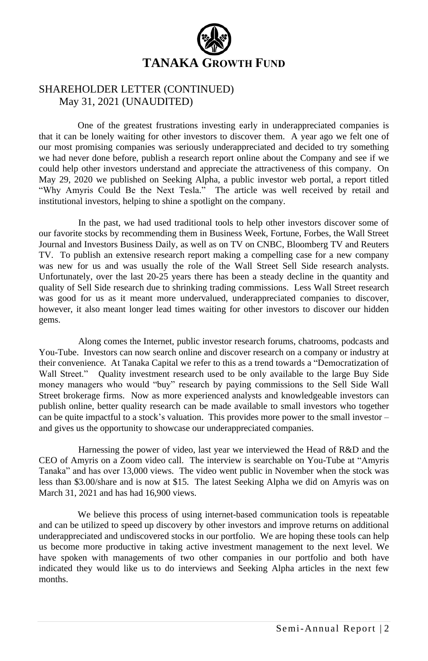

### SHAREHOLDER LETTER (CONTINUED) May 31, 2021 (UNAUDITED)

One of the greatest frustrations investing early in underappreciated companies is that it can be lonely waiting for other investors to discover them. A year ago we felt one of our most promising companies was seriously underappreciated and decided to try something we had never done before, publish a research report online about the Company and see if we could help other investors understand and appreciate the attractiveness of this company. On May 29, 2020 we published on Seeking Alpha, a public investor web portal, a report titled "Why Amyris Could Be the Next Tesla." The article was well received by retail and institutional investors, helping to shine a spotlight on the company.

In the past, we had used traditional tools to help other investors discover some of our favorite stocks by recommending them in Business Week, Fortune, Forbes, the Wall Street Journal and Investors Business Daily, as well as on TV on CNBC, Bloomberg TV and Reuters TV. To publish an extensive research report making a compelling case for a new company was new for us and was usually the role of the Wall Street Sell Side research analysts. Unfortunately, over the last 20-25 years there has been a steady decline in the quantity and quality of Sell Side research due to shrinking trading commissions. Less Wall Street research was good for us as it meant more undervalued, underappreciated companies to discover, however, it also meant longer lead times waiting for other investors to discover our hidden gems.

Along comes the Internet, public investor research forums, chatrooms, podcasts and You-Tube. Investors can now search online and discover research on a company or industry at their convenience. At Tanaka Capital we refer to this as a trend towards a "Democratization of Wall Street." Ouality investment research used to be only available to the large Buy Side money managers who would "buy" research by paying commissions to the Sell Side Wall Street brokerage firms. Now as more experienced analysts and knowledgeable investors can publish online, better quality research can be made available to small investors who together can be quite impactful to a stock's valuation. This provides more power to the small investor – and gives us the opportunity to showcase our underappreciated companies.

Harnessing the power of video, last year we interviewed the Head of R&D and the CEO of Amyris on a Zoom video call. The interview is searchable on You-Tube at "Amyris Tanaka" and has over 13,000 views. The video went public in November when the stock was less than \$3.00/share and is now at \$15. The latest Seeking Alpha we did on Amyris was on March 31, 2021 and has had 16,900 views.

We believe this process of using internet-based communication tools is repeatable and can be utilized to speed up discovery by other investors and improve returns on additional underappreciated and undiscovered stocks in our portfolio. We are hoping these tools can help us become more productive in taking active investment management to the next level. We have spoken with managements of two other companies in our portfolio and both have indicated they would like us to do interviews and Seeking Alpha articles in the next few months.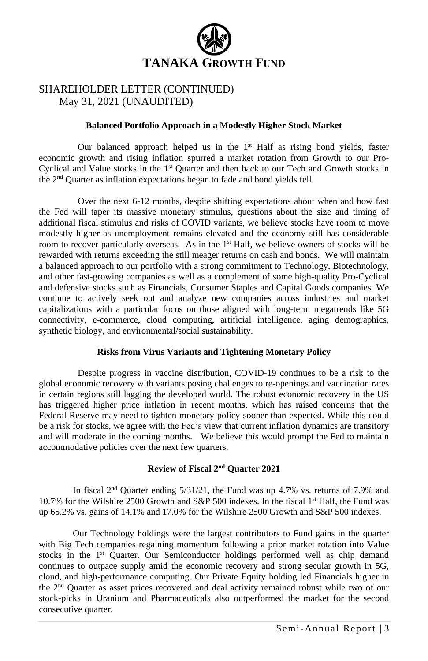

### SHAREHOLDER LETTER (CONTINUED) May 31, 2021 (UNAUDITED)

#### **Balanced Portfolio Approach in a Modestly Higher Stock Market**

Our balanced approach helped us in the  $1<sup>st</sup>$  Half as rising bond yields, faster economic growth and rising inflation spurred a market rotation from Growth to our Pro-Cyclical and Value stocks in the 1st Quarter and then back to our Tech and Growth stocks in the 2nd Quarter as inflation expectations began to fade and bond yields fell.

Over the next 6-12 months, despite shifting expectations about when and how fast the Fed will taper its massive monetary stimulus, questions about the size and timing of additional fiscal stimulus and risks of COVID variants, we believe stocks have room to move modestly higher as unemployment remains elevated and the economy still has considerable room to recover particularly overseas. As in the  $1<sup>st</sup>$  Half, we believe owners of stocks will be rewarded with returns exceeding the still meager returns on cash and bonds. We will maintain a balanced approach to our portfolio with a strong commitment to Technology, Biotechnology, and other fast-growing companies as well as a complement of some high-quality Pro-Cyclical and defensive stocks such as Financials, Consumer Staples and Capital Goods companies. We continue to actively seek out and analyze new companies across industries and market capitalizations with a particular focus on those aligned with long-term megatrends like 5G connectivity, e-commerce, cloud computing, artificial intelligence, aging demographics, synthetic biology, and environmental/social sustainability.

#### **Risks from Virus Variants and Tightening Monetary Policy**

Despite progress in vaccine distribution, COVID-19 continues to be a risk to the global economic recovery with variants posing challenges to re-openings and vaccination rates in certain regions still lagging the developed world. The robust economic recovery in the US has triggered higher price inflation in recent months, which has raised concerns that the Federal Reserve may need to tighten monetary policy sooner than expected. While this could be a risk for stocks, we agree with the Fed's view that current inflation dynamics are transitory and will moderate in the coming months. We believe this would prompt the Fed to maintain accommodative policies over the next few quarters.

#### **Review of Fiscal 2 nd Quarter 2021**

In fiscal  $2<sup>nd</sup>$  Quarter ending  $5/31/21$ , the Fund was up 4.7% vs. returns of 7.9% and 10.7% for the Wilshire 2500 Growth and S&P 500 indexes. In the fiscal 1<sup>st</sup> Half, the Fund was up 65.2% vs. gains of 14.1% and 17.0% for the Wilshire 2500 Growth and S&P 500 indexes.

Our Technology holdings were the largest contributors to Fund gains in the quarter with Big Tech companies regaining momentum following a prior market rotation into Value stocks in the 1st Quarter. Our Semiconductor holdings performed well as chip demand continues to outpace supply amid the economic recovery and strong secular growth in 5G, cloud, and high-performance computing. Our Private Equity holding led Financials higher in the 2nd Quarter as asset prices recovered and deal activity remained robust while two of our stock-picks in Uranium and Pharmaceuticals also outperformed the market for the second consecutive quarter.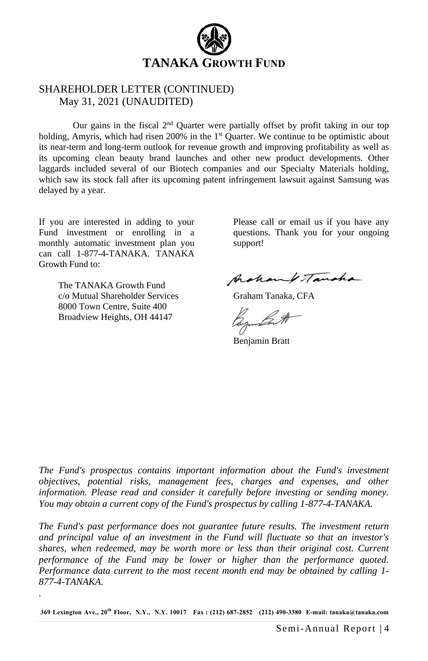

### SHAREHOLDER LETTER (CONTINUED) May 31, 2021 (UNAUDITED)

Our gains in the fiscal  $2<sup>nd</sup>$  Quarter were partially offset by profit taking in our top holding, Amyris, which had risen  $200\%$  in the  $1<sup>st</sup>$  Quarter. We continue to be optimistic about its near-term and long-term outlook for revenue growth and improving profitability as well as its upcoming clean beauty brand launches and other new product developments. Other laggards included several of our Biotech companies and our Specialty Materials holding, which saw its stock fall after its upcoming patent infringement lawsuit against Samsung was delayed by a year.

If you are interested in adding to your Fund investment or enrolling in a monthly automatic investment plan you can call 1-877-4-TANAKA. TANAKA Growth Fund to:

> The TANAKA Growth Fund c/o Mutual Shareholder Services 8000 Town Centre, Suite 400 Broadview Heights, OH 44147

*.*

Please call or email us if you have any questions. Thank you for your ongoing support!

Archamp Tancha

Graham Tanaka, CFA

Benjamin Bratt

*The Fund's prospectus contains important information about the Fund's investment objectives, potential risks, management fees, charges and expenses, and other information. Please read and consider it carefully before investing or sending money. You may obtain a current copy of the Fund's prospectus by calling 1-877-4-TANAKA.* 

*The Fund's past performance does not guarantee future results. The investment return and principal value of an investment in the Fund will fluctuate so that an investor's shares, when redeemed, may be worth more or less than their original cost. Current performance of the Fund may be lower or higher than the performance quoted. Performance data current to the most recent month end may be obtained by calling 1- 877-4-TANAKA.*

**369 Lexington Ave., 20th Floor, N.Y., N.Y. 10017 Fax : (212) 687-2852 (212) 490-3380 E-mail: tanaka@tanaka.com**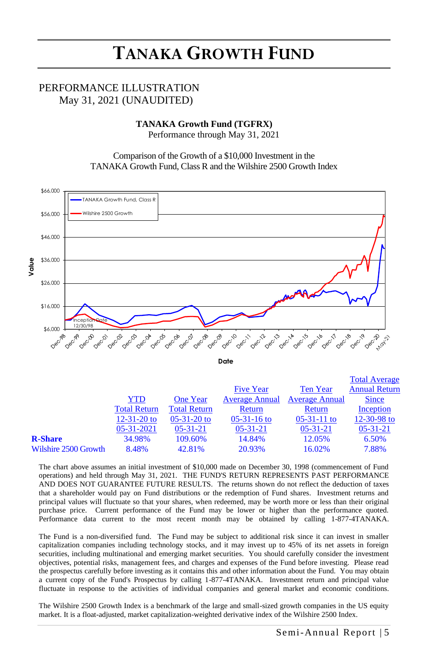### PERFORMANCE ILLUSTRATION May 31, 2021 (UNAUDITED)

## **TANAKA Growth Fund (TGFRX)**<br> **Reference through May 21, 2021**

Performance through May 31, 2021

Comparison of the Growth of a \$10,000 Investment in the TANAKA Growth Fund, Class R and the Wilshire 2500 Growth Index



**Date**

|                      |                     |                     |                       |                       | <b>Total Average</b> |
|----------------------|---------------------|---------------------|-----------------------|-----------------------|----------------------|
|                      |                     |                     | <b>Five Year</b>      | <b>Ten Year</b>       | <b>Annual Return</b> |
|                      | YTD                 | <b>One Year</b>     | <b>Average Annual</b> | <b>Average Annual</b> | <b>Since</b>         |
|                      | <b>Total Return</b> | <b>Total Return</b> | Return                | Return                | Inception            |
|                      | $12 - 31 - 20$ to   | $05-31-20$ to       | $05-31-16$ to         | $05-31-11$ to         | 12-30-98 to          |
|                      | 05-31-2021          | $05 - 31 - 21$      | $05-31-21$            | $05-31-21$            | $05-31-21$           |
| <b>R-Share</b>       | 34.98%              | 109.60%             | 14.84%                | 12.05%                | 6.50%                |
| Wilshire 2500 Growth | 8.48%               | 42.81%              | 20.93%                | 16.02%                | 7.88%                |

The chart above assumes an initial investment of \$10,000 made on December 30, 1998 (commencement of Fund operations) and held through May 31, 2021. THE FUND'S RETURN REPRESENTS PAST PERFORMANCE AND DOES NOT GUARANTEE FUTURE RESULTS. The returns shown do not reflect the deduction of taxes that a shareholder would pay on Fund distributions or the redemption of Fund shares. Investment returns and principal values will fluctuate so that your shares, when redeemed, may be worth more or less than their original purchase price. Current performance of the Fund may be lower or higher than the performance quoted. Performance data current to the most recent month may be obtained by calling 1-877-4TANAKA.

The Fund is a non-diversified fund. The Fund may be subject to additional risk since it can invest in smaller capitalization companies including technology stocks, and it may invest up to 45% of its net assets in foreign securities, including multinational and emerging market securities. You should carefully consider the investment objectives, potential risks, management fees, and charges and expenses of the Fund before investing. Please read the prospectus carefully before investing as it contains this and other information about the Fund. You may obtain a current copy of the Fund's Prospectus by calling 1-877-4TANAKA. Investment return and principal value fluctuate in response to the activities of individual companies and general market and economic conditions.

The Wilshire 2500 Growth Index is a benchmark of the large and small-sized growth companies in the US equity market. It is a float-adjusted, market capitalization-weighted derivative index of the Wilshire 2500 Index.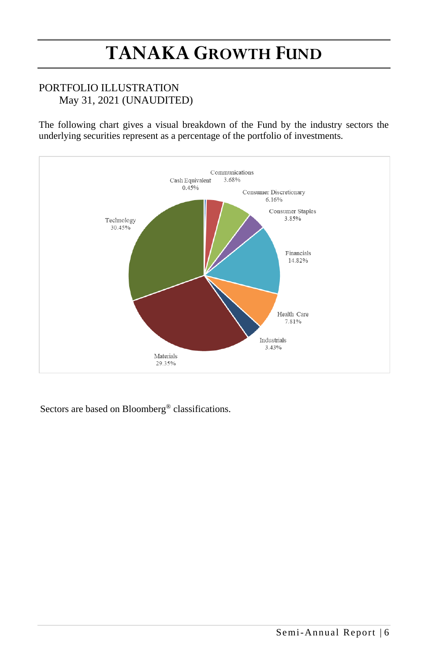## PORTFOLIO ILLUSTRATION May 31, 2021 (UNAUDITED)

The following chart gives a visual breakdown of the Fund by the industry sectors the underlying securities represent as a percentage of the portfolio of investments.



Sectors are based on Bloomberg® classifications.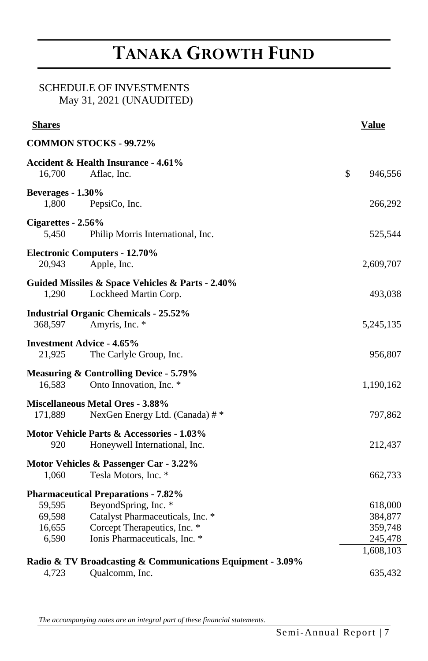## SCHEDULE OF INVESTMENTS May 31, 2021 (UNAUDITED)

| <b>COMMON STOCKS - 99.72%</b><br><b>Accident &amp; Health Insurance - 4.61%</b><br>\$<br>16,700<br>Aflac, Inc.<br>946,556<br>Beverages - 1.30%<br>1,800<br>PepsiCo, Inc.<br>266,292 |
|-------------------------------------------------------------------------------------------------------------------------------------------------------------------------------------|
|                                                                                                                                                                                     |
|                                                                                                                                                                                     |
|                                                                                                                                                                                     |
|                                                                                                                                                                                     |
|                                                                                                                                                                                     |
| Cigarettes - 2.56%                                                                                                                                                                  |
| 5,450<br>Philip Morris International, Inc.<br>525,544                                                                                                                               |
| <b>Electronic Computers - 12.70%</b>                                                                                                                                                |
| 20,943<br>Apple, Inc.<br>2,609,707                                                                                                                                                  |
| Guided Missiles & Space Vehicles & Parts - 2.40%                                                                                                                                    |
| 1,290<br>Lockheed Martin Corp.<br>493,038                                                                                                                                           |
| <b>Industrial Organic Chemicals - 25.52%</b>                                                                                                                                        |
| Amyris, Inc. *<br>368,597<br>5,245,135                                                                                                                                              |
| <b>Investment Advice - 4.65%</b>                                                                                                                                                    |
| The Carlyle Group, Inc.<br>21,925<br>956,807                                                                                                                                        |
| <b>Measuring &amp; Controlling Device - 5.79%</b>                                                                                                                                   |
| Onto Innovation, Inc. *<br>16,583<br>1,190,162                                                                                                                                      |
| <b>Miscellaneous Metal Ores - 3.88%</b>                                                                                                                                             |
| 171,889<br>NexGen Energy Ltd. (Canada) #*<br>797,862                                                                                                                                |
| Motor Vehicle Parts & Accessories - 1.03%                                                                                                                                           |
| 920<br>Honeywell International, Inc.<br>212,437                                                                                                                                     |
| Motor Vehicles & Passenger Car - 3.22%                                                                                                                                              |
| Tesla Motors, Inc. *<br>1,060<br>662,733                                                                                                                                            |
| <b>Pharmaceutical Preparations - 7.82%</b>                                                                                                                                          |
| BeyondSpring, Inc. *<br>59,595<br>618,000                                                                                                                                           |
| Catalyst Pharmaceuticals, Inc. *<br>69,598<br>384,877                                                                                                                               |
| Corcept Therapeutics, Inc. *<br>359,748<br>16,655                                                                                                                                   |
| Ionis Pharmaceuticals, Inc. *<br>6,590<br>245,478                                                                                                                                   |
| 1,608,103<br>Radio & TV Broadcasting & Communications Equipment - 3.09%                                                                                                             |
| 4,723<br>Qualcomm, Inc.<br>635,432                                                                                                                                                  |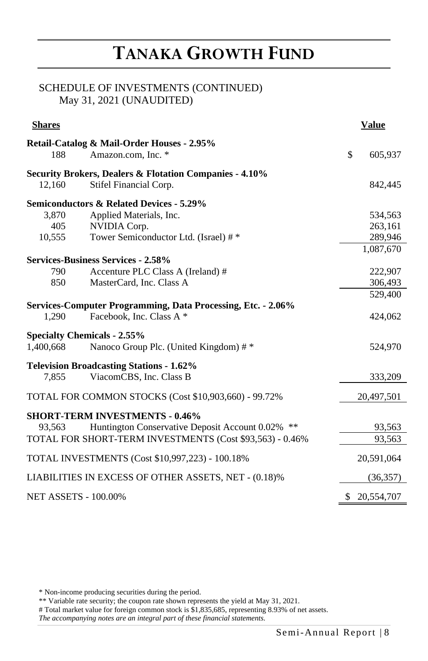## SCHEDULE OF INVESTMENTS (CONTINUED) May 31, 2021 (UNAUDITED)

| <b>Shares</b>               |                                                              | <b>Value</b>  |
|-----------------------------|--------------------------------------------------------------|---------------|
|                             | Retail-Catalog & Mail-Order Houses - 2.95%                   |               |
| 188                         | Amazon.com. Inc. *                                           | \$<br>605,937 |
|                             | Security Brokers, Dealers & Flotation Companies - 4.10%      |               |
| 12.160                      | Stifel Financial Corp.                                       | 842,445       |
|                             | <b>Semiconductors &amp; Related Devices - 5.29%</b>          |               |
| 3.870                       | Applied Materials, Inc.                                      | 534,563       |
| 405                         | NVIDIA Corp.                                                 | 263,161       |
| 10,555                      | Tower Semiconductor Ltd. (Israel) #*                         | 289,946       |
|                             |                                                              | 1,087,670     |
|                             | <b>Services-Business Services - 2.58%</b>                    |               |
| 790                         | Accenture PLC Class A (Ireland) #                            | 222,907       |
| 850                         | MasterCard, Inc. Class A                                     | 306,493       |
|                             |                                                              | 529,400       |
|                             | Services-Computer Programming, Data Processing, Etc. - 2.06% |               |
| 1.290                       | Facebook, Inc. Class A *                                     | 424,062       |
|                             | <b>Specialty Chemicals - 2.55%</b>                           |               |
| 1,400,668                   | Nanoco Group Plc. (United Kingdom) #*                        | 524,970       |
|                             | <b>Television Broadcasting Stations - 1.62%</b>              |               |
| 7.855                       | ViacomCBS, Inc. Class B                                      | 333,209       |
|                             | TOTAL FOR COMMON STOCKS (Cost \$10,903,660) - 99.72%         | 20,497,501    |
|                             | <b>SHORT-TERM INVESTMENTS - 0.46%</b>                        |               |
| 93.563                      | Huntington Conservative Deposit Account 0.02% **             | 93,563        |
|                             | TOTAL FOR SHORT-TERM INVESTMENTS (Cost \$93,563) - 0.46%     | 93,563        |
|                             | TOTAL INVESTMENTS (Cost \$10,997,223) - 100.18%              | 20,591,064    |
|                             | LIABILITIES IN EXCESS OF OTHER ASSETS, NET - (0.18)%         | (36, 357)     |
| <b>NET ASSETS - 100.00%</b> |                                                              | \$ 20,554,707 |

\* Non-income producing securities during the period.

\*\* Variable rate security; the coupon rate shown represents the yield at May 31, 2021.

# Total market value for foreign common stock is \$1,835,685, representing 8.93% of net assets.

*The accompanying notes are an integral part of these financial statements.*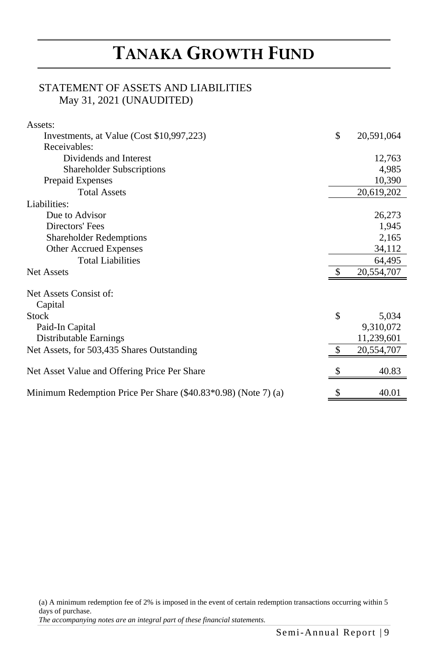## STATEMENT OF ASSETS AND LIABILITIES May 31, 2021 (UNAUDITED)

| Assets:                                                        |                    |
|----------------------------------------------------------------|--------------------|
| Investments, at Value (Cost \$10,997,223)                      | \$<br>20,591,064   |
| Receivables:                                                   |                    |
| Dividends and Interest                                         | 12,763             |
| Shareholder Subscriptions                                      | 4,985              |
| Prepaid Expenses                                               | 10,390             |
| <b>Total Assets</b>                                            | 20,619,202         |
| Liabilities:                                                   |                    |
| Due to Advisor                                                 | 26,273             |
| Directors' Fees                                                | 1,945              |
| <b>Shareholder Redemptions</b>                                 | 2,165              |
| Other Accrued Expenses                                         | 34,112             |
| <b>Total Liabilities</b>                                       | 64,495             |
| <b>Net Assets</b>                                              | 20,554,707         |
| Net Assets Consist of:                                         |                    |
| Capital<br><b>Stock</b>                                        | \$                 |
| Paid-In Capital                                                | 5,034<br>9,310,072 |
|                                                                |                    |
| Distributable Earnings                                         | 11,239,601         |
| Net Assets, for 503,435 Shares Outstanding                     | 20,554,707         |
| Net Asset Value and Offering Price Per Share                   | 40.83              |
| Minimum Redemption Price Per Share (\$40.83*0.98) (Note 7) (a) | \$<br>40.01        |

(a) A minimum redemption fee of 2% is imposed in the event of certain redemption transactions occurring within 5 days of purchase.

*The accompanying notes are an integral part of these financial statements.*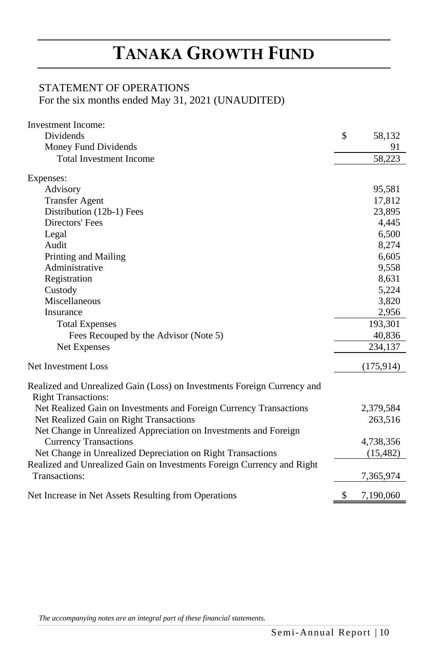## STATEMENT OF OPERATIONS

For the six months ended May 31, 2021 (UNAUDITED)

| Investment Income:                                                                                    |                 |
|-------------------------------------------------------------------------------------------------------|-----------------|
| Dividends                                                                                             | \$<br>58,132    |
| Money Fund Dividends                                                                                  | 91              |
| <b>Total Investment Income</b>                                                                        | 58,223          |
| Expenses:                                                                                             |                 |
| Advisory                                                                                              | 95,581          |
| <b>Transfer Agent</b>                                                                                 | 17,812          |
| Distribution (12b-1) Fees                                                                             | 23,895          |
| Directors' Fees                                                                                       | 4,445           |
| Legal                                                                                                 | 6,500           |
| Audit                                                                                                 | 8,274           |
| Printing and Mailing                                                                                  | 6,605           |
| Administrative                                                                                        | 9,558           |
| Registration                                                                                          | 8,631           |
| Custody                                                                                               | 5,224           |
| Miscellaneous                                                                                         | 3,820           |
| Insurance                                                                                             | 2,956           |
| <b>Total Expenses</b>                                                                                 | 193,301         |
| Fees Recouped by the Advisor (Note 5)                                                                 | 40,836          |
| Net Expenses                                                                                          | 234,137         |
| Net Investment Loss                                                                                   | (175, 914)      |
| Realized and Unrealized Gain (Loss) on Investments Foreign Currency and<br><b>Right Transactions:</b> |                 |
| Net Realized Gain on Investments and Foreign Currency Transactions                                    | 2,379,584       |
| Net Realized Gain on Right Transactions                                                               | 263,516         |
| Net Change in Unrealized Appreciation on Investments and Foreign                                      |                 |
| <b>Currency Transactions</b>                                                                          | 4,738,356       |
| Net Change in Unrealized Depreciation on Right Transactions                                           | (15, 482)       |
| Realized and Unrealized Gain on Investments Foreign Currency and Right                                |                 |
| Transactions:                                                                                         | 7,365,974       |
| Net Increase in Net Assets Resulting from Operations                                                  | \$<br>7,190,060 |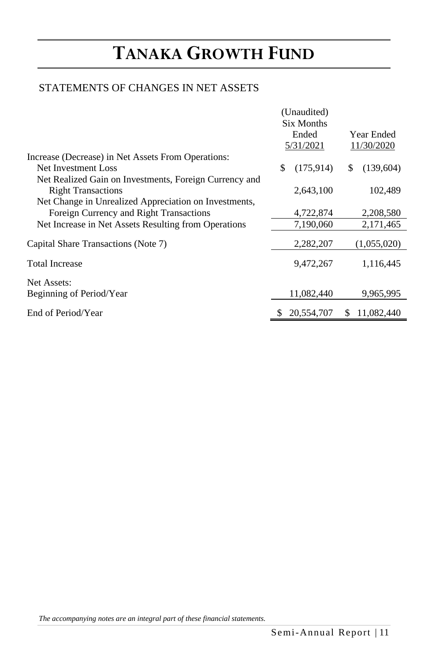## STATEMENTS OF CHANGES IN NET ASSETS

|                                                        | (Unaudited)      |                  |
|--------------------------------------------------------|------------------|------------------|
|                                                        | Six Months       |                  |
|                                                        | Ended            | Year Ended       |
|                                                        | 5/31/2021        | 11/30/2020       |
| Increase (Decrease) in Net Assets From Operations:     |                  |                  |
| Net Investment Loss                                    | \$<br>(175, 914) | (139,604)<br>\$. |
| Net Realized Gain on Investments, Foreign Currency and |                  |                  |
| <b>Right Transactions</b>                              | 2,643,100        | 102,489          |
| Net Change in Unrealized Appreciation on Investments,  |                  |                  |
| Foreign Currency and Right Transactions                | 4,722,874        | 2,208,580        |
| Net Increase in Net Assets Resulting from Operations   | 7,190,060        | 2,171,465        |
|                                                        |                  |                  |
| Capital Share Transactions (Note 7)                    | 2,282,207        | (1,055,020)      |
| <b>Total Increase</b>                                  | 9,472,267        | 1,116,445        |
| Net Assets:                                            |                  |                  |
| Beginning of Period/Year                               | 11,082,440       | 9,965,995        |
| End of Period/Year                                     | 20,554,707       | 11,082,440<br>S  |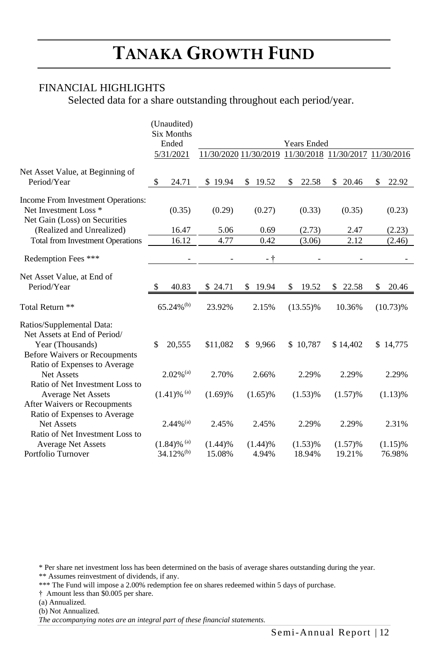## FINANCIAL HIGHLIGHTS

Selected data for a share outstanding throughout each period/year.

|                                                   |    | (Unaudited)                |                                                        |     |            |                    |             |     |             |
|---------------------------------------------------|----|----------------------------|--------------------------------------------------------|-----|------------|--------------------|-------------|-----|-------------|
|                                                   |    | <b>Six Months</b><br>Ended |                                                        |     |            | <b>Years Ended</b> |             |     |             |
|                                                   |    | 5/31/2021                  | 11/30/2020 11/30/2019 11/30/2018 11/30/2017 11/30/2016 |     |            |                    |             |     |             |
| Net Asset Value, at Beginning of                  |    |                            |                                                        |     |            |                    |             |     |             |
| Period/Year                                       | \$ | 24.71                      | \$19.94                                                | \$. | 19.52      | \$<br>22.58        | \$<br>20.46 | \$. | 22.92       |
| Income From Investment Operations:                |    |                            |                                                        |     |            |                    |             |     |             |
| Net Investment Loss <sup>*</sup>                  |    | (0.35)                     | (0.29)                                                 |     | (0.27)     | (0.33)             | (0.35)      |     | (0.23)      |
| Net Gain (Loss) on Securities                     |    |                            |                                                        |     |            |                    |             |     |             |
| (Realized and Unrealized)                         |    | 16.47                      | 5.06                                                   |     | 0.69       | (2.73)             | 2.47        |     | (2.23)      |
| <b>Total from Investment Operations</b>           |    | 16.12                      | 4.77                                                   |     | 0.42       | (3.06)             | 2.12        |     | (2.46)      |
| Redemption Fees ***                               |    |                            |                                                        |     | - †        |                    |             |     |             |
| Net Asset Value, at End of                        |    |                            |                                                        |     |            |                    |             |     |             |
| Period/Year                                       | S  | 40.83                      | \$ 24.71                                               | S   | 19.94      | \$<br>19.52        | \$<br>22.58 | \$  | 20.46       |
|                                                   |    |                            |                                                        |     |            |                    |             |     |             |
| Total Return **                                   |    | $65.24\%$ <sup>(b)</sup>   | 23.92%                                                 |     | 2.15%      | $(13.55)\%$        | 10.36%      |     | $(10.73)\%$ |
| Ratios/Supplemental Data:                         |    |                            |                                                        |     |            |                    |             |     |             |
| Net Assets at End of Period/                      |    |                            |                                                        |     |            |                    |             |     |             |
| Year (Thousands)                                  | \$ | 20,555                     | \$11,082                                               | \$. | 9,966      | \$10,787           | \$14,402    |     | \$14,775    |
| <b>Before Waivers or Recoupments</b>              |    |                            |                                                        |     |            |                    |             |     |             |
| Ratio of Expenses to Average                      |    |                            |                                                        |     |            |                    |             |     |             |
| <b>Net Assets</b>                                 |    | $2.02\%$ <sup>(a)</sup>    | 2.70%                                                  |     | 2.66%      | 2.29%              | 2.29%       |     | 2.29%       |
| Ratio of Net Investment Loss to                   |    |                            |                                                        |     |            |                    |             |     |             |
| <b>Average Net Assets</b>                         |    | $(1.41)$ % <sup>(a)</sup>  | (1.69)%                                                |     | $(1.65)\%$ | (1.53)%            | (1.57)%     |     | (1.13)%     |
| After Waivers or Recoupments                      |    |                            |                                                        |     |            |                    |             |     |             |
| Ratio of Expenses to Average<br><b>Net Assets</b> |    | $2.44\%$ <sup>(a)</sup>    | 2.45%                                                  |     | 2.45%      | 2.29%              | 2.29%       |     | 2.31%       |
| Ratio of Net Investment Loss to                   |    |                            |                                                        |     |            |                    |             |     |             |
| <b>Average Net Assets</b>                         |    | $(1.84)$ % <sup>(a)</sup>  | (1.44)%                                                |     | (1.44)%    | (1.53)%            | (1.57)%     |     | $(1.15)\%$  |
| Portfolio Turnover                                |    | $34.12\%$ <sup>(b)</sup>   | 15.08%                                                 |     | 4.94%      | 18.94%             | 19.21%      |     | 76.98%      |

\* Per share net investment loss has been determined on the basis of average shares outstanding during the year. \*\* Assumes reinvestment of dividends, if any.

\*\*\* The Fund will impose a 2.00% redemption fee on shares redeemed within 5 days of purchase.

† Amount less than \$0.005 per share.

(a) Annualized.

(b) Not Annualized.

*The accompanying notes are an integral part of these financial statements.*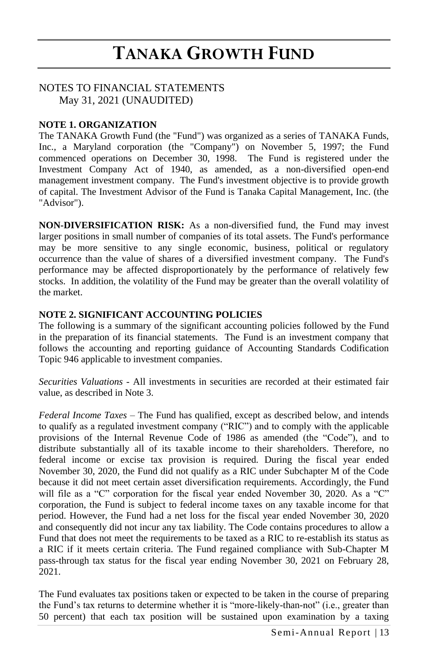#### NOTES TO FINANCIAL STATEMENTS May 31, 2021 (UNAUDITED)

### **NOTE 1. ORGANIZATION**

The TANAKA Growth Fund (the "Fund") was organized as a series of TANAKA Funds, Inc., a Maryland corporation (the "Company") on November 5, 1997; the Fund commenced operations on December 30, 1998. The Fund is registered under the Investment Company Act of 1940, as amended, as a non-diversified open-end management investment company. The Fund's investment objective is to provide growth of capital. The Investment Advisor of the Fund is Tanaka Capital Management, Inc. (the "Advisor").

**NON-DIVERSIFICATION RISK:** As a non-diversified fund, the Fund may invest larger positions in small number of companies of its total assets. The Fund's performance may be more sensitive to any single economic, business, political or regulatory occurrence than the value of shares of a diversified investment company. The Fund's performance may be affected disproportionately by the performance of relatively few stocks. In addition, the volatility of the Fund may be greater than the overall volatility of the market.

#### **NOTE 2. SIGNIFICANT ACCOUNTING POLICIES**

The following is a summary of the significant accounting policies followed by the Fund in the preparation of its financial statements. The Fund is an investment company that follows the accounting and reporting guidance of Accounting Standards Codification Topic 946 applicable to investment companies.

*Securities Valuations* - All investments in securities are recorded at their estimated fair value, as described in Note 3.

*Federal Income Taxes* – The Fund has qualified, except as described below, and intends to qualify as a regulated investment company ("RIC") and to comply with the applicable provisions of the Internal Revenue Code of 1986 as amended (the "Code"), and to distribute substantially all of its taxable income to their shareholders. Therefore, no federal income or excise tax provision is required. During the fiscal year ended November 30, 2020, the Fund did not qualify as a RIC under Subchapter M of the Code because it did not meet certain asset diversification requirements. Accordingly, the Fund will file as a "C" corporation for the fiscal year ended November 30, 2020. As a "C" corporation, the Fund is subject to federal income taxes on any taxable income for that period. However, the Fund had a net loss for the fiscal year ended November 30, 2020 and consequently did not incur any tax liability. The Code contains procedures to allow a Fund that does not meet the requirements to be taxed as a RIC to re-establish its status as a RIC if it meets certain criteria. The Fund regained compliance with Sub-Chapter M pass-through tax status for the fiscal year ending November 30, 2021 on February 28, 2021.

The Fund evaluates tax positions taken or expected to be taken in the course of preparing the Fund's tax returns to determine whether it is "more-likely-than-not" (i.e., greater than 50 percent) that each tax position will be sustained upon examination by a taxing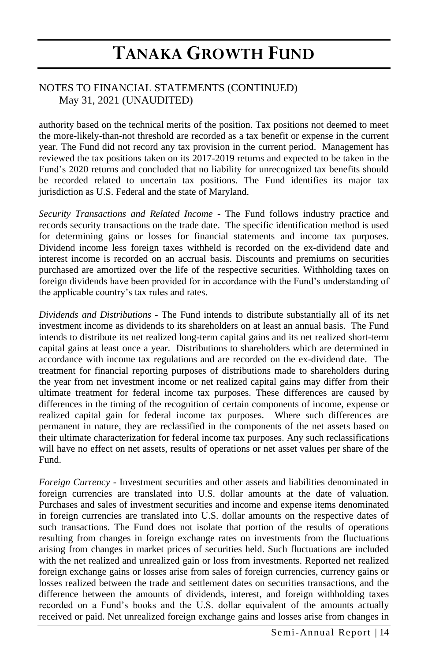## NOTES TO FINANCIAL STATEMENTS (CONTINUED) May 31, 2021 (UNAUDITED)

authority based on the technical merits of the position. Tax positions not deemed to meet the more-likely-than-not threshold are recorded as a tax benefit or expense in the current year. The Fund did not record any tax provision in the current period. Management has reviewed the tax positions taken on its 2017-2019 returns and expected to be taken in the Fund's 2020 returns and concluded that no liability for unrecognized tax benefits should be recorded related to uncertain tax positions. The Fund identifies its major tax jurisdiction as U.S. Federal and the state of Maryland.

*Security Transactions and Related Income* - The Fund follows industry practice and records security transactions on the trade date. The specific identification method is used for determining gains or losses for financial statements and income tax purposes. Dividend income less foreign taxes withheld is recorded on the ex-dividend date and interest income is recorded on an accrual basis. Discounts and premiums on securities purchased are amortized over the life of the respective securities. Withholding taxes on foreign dividends have been provided for in accordance with the Fund's understanding of the applicable country's tax rules and rates.

*Dividends and Distributions* - The Fund intends to distribute substantially all of its net investment income as dividends to its shareholders on at least an annual basis. The Fund intends to distribute its net realized long-term capital gains and its net realized short-term capital gains at least once a year. Distributions to shareholders which are determined in accordance with income tax regulations and are recorded on the ex-dividend date. The treatment for financial reporting purposes of distributions made to shareholders during the year from net investment income or net realized capital gains may differ from their ultimate treatment for federal income tax purposes. These differences are caused by differences in the timing of the recognition of certain components of income, expense or realized capital gain for federal income tax purposes. Where such differences are permanent in nature, they are reclassified in the components of the net assets based on their ultimate characterization for federal income tax purposes. Any such reclassifications will have no effect on net assets, results of operations or net asset values per share of the Fund.

*Foreign Currency* - Investment securities and other assets and liabilities denominated in foreign currencies are translated into U.S. dollar amounts at the date of valuation. Purchases and sales of investment securities and income and expense items denominated in foreign currencies are translated into U.S. dollar amounts on the respective dates of such transactions. The Fund does not isolate that portion of the results of operations resulting from changes in foreign exchange rates on investments from the fluctuations arising from changes in market prices of securities held. Such fluctuations are included with the net realized and unrealized gain or loss from investments. Reported net realized foreign exchange gains or losses arise from sales of foreign currencies, currency gains or losses realized between the trade and settlement dates on securities transactions, and the difference between the amounts of dividends, interest, and foreign withholding taxes recorded on a Fund's books and the U.S. dollar equivalent of the amounts actually received or paid. Net unrealized foreign exchange gains and losses arise from changes in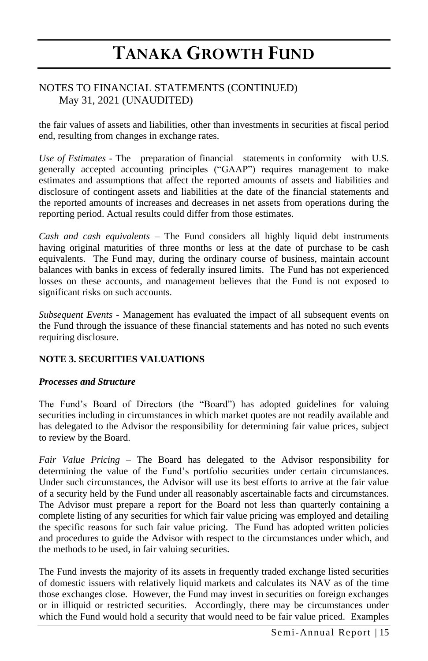## NOTES TO FINANCIAL STATEMENTS (CONTINUED) May 31, 2021 (UNAUDITED)

the fair values of assets and liabilities, other than investments in securities at fiscal period end, resulting from changes in exchange rates.

*Use of Estimates* - The preparation of financial statements in conformity with U.S. generally accepted accounting principles ("GAAP") requires management to make estimates and assumptions that affect the reported amounts of assets and liabilities and disclosure of contingent assets and liabilities at the date of the financial statements and the reported amounts of increases and decreases in net assets from operations during the reporting period. Actual results could differ from those estimates.

*Cash and cash equivalents* – The Fund considers all highly liquid debt instruments having original maturities of three months or less at the date of purchase to be cash equivalents. The Fund may, during the ordinary course of business, maintain account balances with banks in excess of federally insured limits. The Fund has not experienced losses on these accounts, and management believes that the Fund is not exposed to significant risks on such accounts.

*Subsequent Events -* Management has evaluated the impact of all subsequent events on the Fund through the issuance of these financial statements and has noted no such events requiring disclosure.

### **NOTE 3. SECURITIES VALUATIONS**

#### *Processes and Structure*

The Fund's Board of Directors (the "Board") has adopted guidelines for valuing securities including in circumstances in which market quotes are not readily available and has delegated to the Advisor the responsibility for determining fair value prices, subject to review by the Board.

*Fair Value Pricing –* The Board has delegated to the Advisor responsibility for determining the value of the Fund's portfolio securities under certain circumstances. Under such circumstances, the Advisor will use its best efforts to arrive at the fair value of a security held by the Fund under all reasonably ascertainable facts and circumstances. The Advisor must prepare a report for the Board not less than quarterly containing a complete listing of any securities for which fair value pricing was employed and detailing the specific reasons for such fair value pricing. The Fund has adopted written policies and procedures to guide the Advisor with respect to the circumstances under which, and the methods to be used, in fair valuing securities.

The Fund invests the majority of its assets in frequently traded exchange listed securities of domestic issuers with relatively liquid markets and calculates its NAV as of the time those exchanges close. However, the Fund may invest in securities on foreign exchanges or in illiquid or restricted securities. Accordingly, there may be circumstances under which the Fund would hold a security that would need to be fair value priced. Examples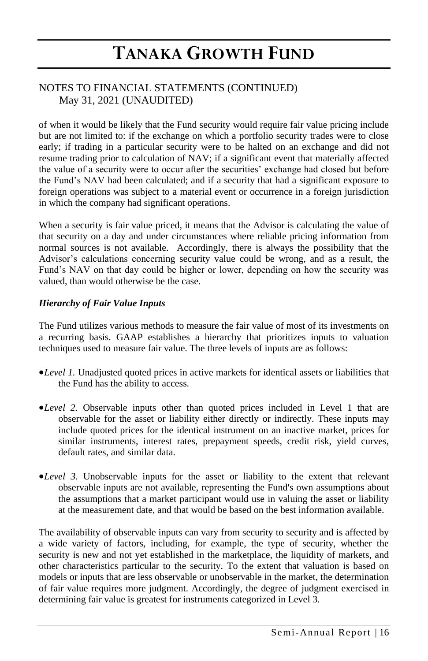## NOTES TO FINANCIAL STATEMENTS (CONTINUED) May 31, 2021 (UNAUDITED)

of when it would be likely that the Fund security would require fair value pricing include but are not limited to: if the exchange on which a portfolio security trades were to close early; if trading in a particular security were to be halted on an exchange and did not resume trading prior to calculation of NAV; if a significant event that materially affected the value of a security were to occur after the securities' exchange had closed but before the Fund's NAV had been calculated; and if a security that had a significant exposure to foreign operations was subject to a material event or occurrence in a foreign jurisdiction in which the company had significant operations.

When a security is fair value priced, it means that the Advisor is calculating the value of that security on a day and under circumstances where reliable pricing information from normal sources is not available. Accordingly, there is always the possibility that the Advisor's calculations concerning security value could be wrong, and as a result, the Fund's NAV on that day could be higher or lower, depending on how the security was valued, than would otherwise be the case.

### *Hierarchy of Fair Value Inputs*

The Fund utilizes various methods to measure the fair value of most of its investments on a recurring basis. GAAP establishes a hierarchy that prioritizes inputs to valuation techniques used to measure fair value. The three levels of inputs are as follows:

- •*Level 1.* Unadjusted quoted prices in active markets for identical assets or liabilities that the Fund has the ability to access.
- •*Level 2.* Observable inputs other than quoted prices included in Level 1 that are observable for the asset or liability either directly or indirectly. These inputs may include quoted prices for the identical instrument on an inactive market, prices for similar instruments, interest rates, prepayment speeds, credit risk, yield curves, default rates, and similar data.
- •*Level 3.* Unobservable inputs for the asset or liability to the extent that relevant observable inputs are not available, representing the Fund's own assumptions about the assumptions that a market participant would use in valuing the asset or liability at the measurement date, and that would be based on the best information available.

The availability of observable inputs can vary from security to security and is affected by a wide variety of factors, including, for example, the type of security, whether the security is new and not yet established in the marketplace, the liquidity of markets, and other characteristics particular to the security. To the extent that valuation is based on models or inputs that are less observable or unobservable in the market, the determination of fair value requires more judgment. Accordingly, the degree of judgment exercised in determining fair value is greatest for instruments categorized in Level 3.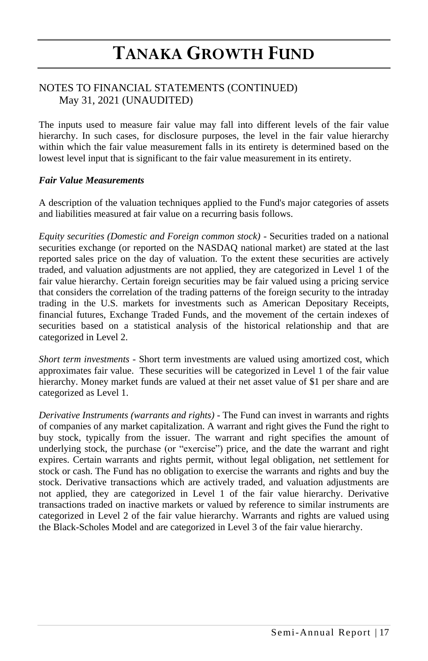### NOTES TO FINANCIAL STATEMENTS (CONTINUED) May 31, 2021 (UNAUDITED)

The inputs used to measure fair value may fall into different levels of the fair value hierarchy. In such cases, for disclosure purposes, the level in the fair value hierarchy within which the fair value measurement falls in its entirety is determined based on the lowest level input that is significant to the fair value measurement in its entirety.

#### *Fair Value Measurements*

A description of the valuation techniques applied to the Fund's major categories of assets and liabilities measured at fair value on a recurring basis follows.

*Equity securities (Domestic and Foreign common stock) -* Securities traded on a national securities exchange (or reported on the NASDAQ national market) are stated at the last reported sales price on the day of valuation. To the extent these securities are actively traded, and valuation adjustments are not applied, they are categorized in Level 1 of the fair value hierarchy. Certain foreign securities may be fair valued using a pricing service that considers the correlation of the trading patterns of the foreign security to the intraday trading in the U.S. markets for investments such as American Depositary Receipts, financial futures, Exchange Traded Funds, and the movement of the certain indexes of securities based on a statistical analysis of the historical relationship and that are categorized in Level 2.

*Short term investments -* Short term investments are valued using amortized cost, which approximates fair value. These securities will be categorized in Level 1 of the fair value hierarchy. Money market funds are valued at their net asset value of \$1 per share and are categorized as Level 1.

*Derivative Instruments (warrants and rights) -* The Fund can invest in warrants and rights of companies of any market capitalization. A warrant and right gives the Fund the right to buy stock, typically from the issuer. The warrant and right specifies the amount of underlying stock, the purchase (or "exercise") price, and the date the warrant and right expires. Certain warrants and rights permit, without legal obligation, net settlement for stock or cash. The Fund has no obligation to exercise the warrants and rights and buy the stock. Derivative transactions which are actively traded, and valuation adjustments are not applied, they are categorized in Level 1 of the fair value hierarchy. Derivative transactions traded on inactive markets or valued by reference to similar instruments are categorized in Level 2 of the fair value hierarchy. Warrants and rights are valued using the Black-Scholes Model and are categorized in Level 3 of the fair value hierarchy.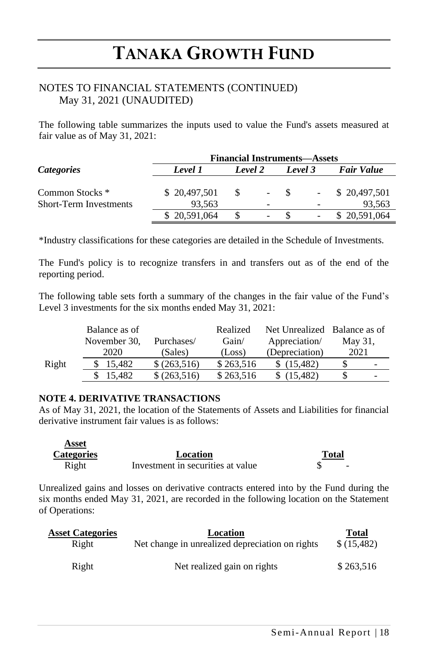### NOTES TO FINANCIAL STATEMENTS (CONTINUED) May 31, 2021 (UNAUDITED)

The following table summarizes the inputs used to value the Fund's assets measured at fair value as of May 31, 2021:

|                                                             | <b>Financial Instruments—Assets</b> |         |                          |              |  |                        |  |  |
|-------------------------------------------------------------|-------------------------------------|---------|--------------------------|--------------|--|------------------------|--|--|
| <i>Categories</i>                                           | Level 1                             | Level 2 |                          | Level 3      |  | <b>Fair Value</b>      |  |  |
| Common Stocks <sup>*</sup><br><b>Short-Term Investments</b> | \$20,497,501<br>93.563              | -S      | $\overline{\phantom{a}}$ | $\mathbf{s}$ |  | \$20,497,501<br>93.563 |  |  |
|                                                             | \$20,591,064                        |         | -                        |              |  | \$20,591,064           |  |  |

\*Industry classifications for these categories are detailed in the Schedule of Investments.

The Fund's policy is to recognize transfers in and transfers out as of the end of the reporting period.

The following table sets forth a summary of the changes in the fair value of the Fund's Level 3 investments for the six months ended May 31, 2021:

|       | Balance as of |               | Realized  | Net Unrealized Balance as of |                          |
|-------|---------------|---------------|-----------|------------------------------|--------------------------|
|       | November 30.  | Purchases/    | Gain/     | Appreciation/                | May 31,                  |
|       | 2020          | (Sales)       | (Loss)    | (Depreciation)               | 2021                     |
| Right | 15.482        | \$ (263, 516) | \$263.516 | (15.482)                     | $\overline{\phantom{0}}$ |
|       | 15.482        | \$ (263, 516) | \$263,516 | (15.482)                     | $\overline{\phantom{0}}$ |

#### **NOTE 4. DERIVATIVE TRANSACTIONS**

As of May 31, 2021, the location of the Statements of Assets and Liabilities for financial derivative instrument fair values is as follows:

| Asset             |                                   |              |
|-------------------|-----------------------------------|--------------|
| <b>Categories</b> | Location                          | <b>Total</b> |
| Right             | Investment in securities at value |              |

Unrealized gains and losses on derivative contracts entered into by the Fund during the six months ended May 31, 2021, are recorded in the following location on the Statement of Operations:

| <b>Asset Categories</b> | Location                                        | Total      |
|-------------------------|-------------------------------------------------|------------|
| Right                   | Net change in unrealized depreciation on rights | \$(15,482) |
| Right                   | Net realized gain on rights                     | \$263.516  |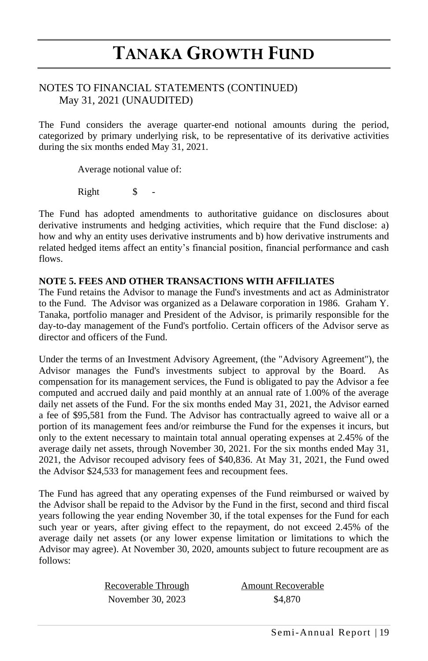### NOTES TO FINANCIAL STATEMENTS (CONTINUED) May 31, 2021 (UNAUDITED)

The Fund considers the average quarter-end notional amounts during the period, categorized by primary underlying risk, to be representative of its derivative activities during the six months ended May 31, 2021.

Average notional value of:

Right \$

The Fund has adopted amendments to authoritative guidance on disclosures about derivative instruments and hedging activities, which require that the Fund disclose: a) how and why an entity uses derivative instruments and b) how derivative instruments and related hedged items affect an entity's financial position, financial performance and cash flows.

#### **NOTE 5. FEES AND OTHER TRANSACTIONS WITH AFFILIATES**

The Fund retains the Advisor to manage the Fund's investments and act as Administrator to the Fund. The Advisor was organized as a Delaware corporation in 1986. Graham Y. Tanaka, portfolio manager and President of the Advisor, is primarily responsible for the day-to-day management of the Fund's portfolio. Certain officers of the Advisor serve as director and officers of the Fund.

Under the terms of an Investment Advisory Agreement, (the "Advisory Agreement"), the Advisor manages the Fund's investments subject to approval by the Board. As compensation for its management services, the Fund is obligated to pay the Advisor a fee computed and accrued daily and paid monthly at an annual rate of 1.00% of the average daily net assets of the Fund. For the six months ended May 31, 2021, the Advisor earned a fee of \$95,581 from the Fund. The Advisor has contractually agreed to waive all or a portion of its management fees and/or reimburse the Fund for the expenses it incurs, but only to the extent necessary to maintain total annual operating expenses at 2.45% of the average daily net assets, through November 30, 2021. For the six months ended May 31, 2021, the Advisor recouped advisory fees of \$40,836. At May 31, 2021, the Fund owed the Advisor \$24,533 for management fees and recoupment fees.

The Fund has agreed that any operating expenses of the Fund reimbursed or waived by the Advisor shall be repaid to the Advisor by the Fund in the first, second and third fiscal years following the year ending November 30, if the total expenses for the Fund for each such year or years, after giving effect to the repayment, do not exceed 2.45% of the average daily net assets (or any lower expense limitation or limitations to which the Advisor may agree). At November 30, 2020, amounts subject to future recoupment are as follows:

> Recoverable Through **Amount Recoverable** November 30, 2023 \$4,870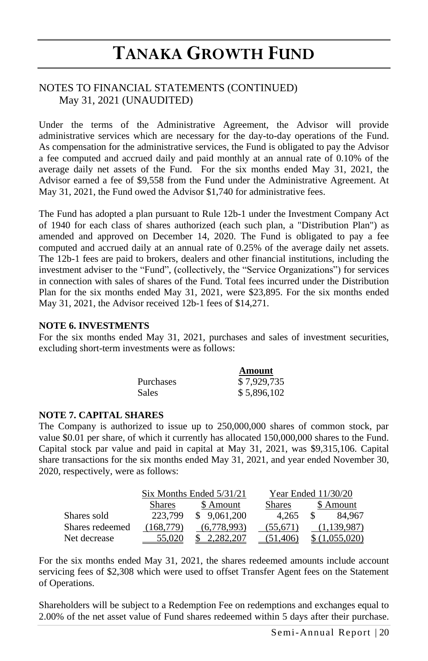### NOTES TO FINANCIAL STATEMENTS (CONTINUED) May 31, 2021 (UNAUDITED)

Under the terms of the Administrative Agreement, the Advisor will provide administrative services which are necessary for the day-to-day operations of the Fund. As compensation for the administrative services, the Fund is obligated to pay the Advisor a fee computed and accrued daily and paid monthly at an annual rate of 0.10% of the average daily net assets of the Fund. For the six months ended May 31, 2021, the Advisor earned a fee of \$9,558 from the Fund under the Administrative Agreement. At May 31, 2021, the Fund owed the Advisor \$1,740 for administrative fees.

The Fund has adopted a plan pursuant to Rule 12b-1 under the Investment Company Act of 1940 for each class of shares authorized (each such plan, a "Distribution Plan") as amended and approved on December 14, 2020. The Fund is obligated to pay a fee computed and accrued daily at an annual rate of 0.25% of the average daily net assets. The 12b-1 fees are paid to brokers, dealers and other financial institutions, including the investment adviser to the "Fund", (collectively, the "Service Organizations") for services in connection with sales of shares of the Fund. Total fees incurred under the Distribution Plan for the six months ended May 31, 2021, were \$23,895. For the six months ended May 31, 2021, the Advisor received 12b-1 fees of \$14,271.

#### **NOTE 6. INVESTMENTS**

For the six months ended May 31, 2021, purchases and sales of investment securities, excluding short-term investments were as follows:

|                  | Amount      |
|------------------|-------------|
| <b>Purchases</b> | \$7,929,735 |
| <b>Sales</b>     | \$5,896,102 |

#### **NOTE 7. CAPITAL SHARES**

The Company is authorized to issue up to 250,000,000 shares of common stock, par value \$0.01 per share, of which it currently has allocated 150,000,000 shares to the Fund. Capital stock par value and paid in capital at May 31, 2021, was \$9,315,106. Capital share transactions for the six months ended May 31, 2021, and year ended November 30, 2020, respectively, were as follows:

|                 |               | $Six$ Months Ended $5/31/21$ | Year Ended $11/30/20$ |              |  |
|-----------------|---------------|------------------------------|-----------------------|--------------|--|
|                 | <b>Shares</b> | \$ Amount                    | <b>Shares</b>         | \$ Amount    |  |
| Shares sold     | 223.799       | \$9.061.200                  | 4.265                 | 84.967<br>-S |  |
| Shares redeemed | (168.779)     | (6.778.993)                  | (55,671)              | (1,139,987)  |  |
| Net decrease    |               |                              | (51, 406)             | 1,055,020    |  |

For the six months ended May 31, 2021, the shares redeemed amounts include account servicing fees of \$2,308 which were used to offset Transfer Agent fees on the Statement of Operations.

Shareholders will be subject to a Redemption Fee on redemptions and exchanges equal to 2.00% of the net asset value of Fund shares redeemed within 5 days after their purchase.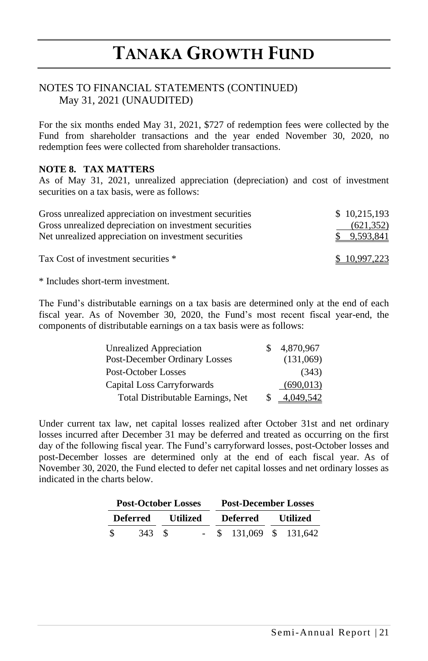### NOTES TO FINANCIAL STATEMENTS (CONTINUED) May 31, 2021 (UNAUDITED)

For the six months ended May 31, 2021, \$727 of redemption fees were collected by the Fund from shareholder transactions and the year ended November 30, 2020, no redemption fees were collected from shareholder transactions.

#### **NOTE 8. TAX MATTERS**

As of May 31, 2021, unrealized appreciation (depreciation) and cost of investment securities on a tax basis, were as follows:

| Gross unrealized appreciation on investment securities | \$10,215,193 |
|--------------------------------------------------------|--------------|
| Gross unrealized depreciation on investment securities | (621, 352)   |
| Net unrealized appreciation on investment securities   | \$ 9.593.841 |
| Tax Cost of investment securities *                    | \$10,997,223 |

\* Includes short-term investment.

The Fund's distributable earnings on a tax basis are determined only at the end of each fiscal year. As of November 30, 2020, the Fund's most recent fiscal year-end, the components of distributable earnings on a tax basis were as follows:

| <b>Unrealized Appreciation</b>    |   | 4,870,967  |
|-----------------------------------|---|------------|
| Post-December Ordinary Losses     |   | (131,069)  |
| Post-October Losses               |   | (343)      |
| Capital Loss Carryforwards        |   | (690, 013) |
| Total Distributable Earnings, Net | S | 4.049.542  |

Under current tax law, net capital losses realized after October 31st and net ordinary losses incurred after December 31 may be deferred and treated as occurring on the first day of the following fiscal year. The Fund's carryforward losses, post-October losses and post-December losses are determined only at the end of each fiscal year. As of November 30, 2020, the Fund elected to defer net capital losses and net ordinary losses as indicated in the charts below.

| <b>Post-October Losses</b> |          | <b>Post-December Losses</b> |                 |          |                       |          |  |
|----------------------------|----------|-----------------------------|-----------------|----------|-----------------------|----------|--|
|                            | Deferred |                             | <b>Utilized</b> | Deferred |                       | Utilized |  |
| - \$                       | 343      | -8                          |                 |          | $$131.069$ $$131.642$ |          |  |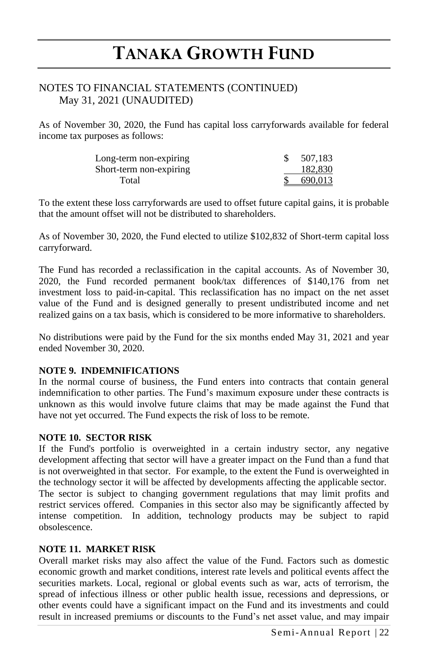### NOTES TO FINANCIAL STATEMENTS (CONTINUED) May 31, 2021 (UNAUDITED)

As of November 30, 2020, the Fund has capital loss carryforwards available for federal income tax purposes as follows:

| Long-term non-expiring  | 507,183 |
|-------------------------|---------|
| Short-term non-expiring | 182,830 |
| Total                   | 690.013 |

To the extent these loss carryforwards are used to offset future capital gains, it is probable that the amount offset will not be distributed to shareholders.

As of November 30, 2020, the Fund elected to utilize \$102,832 of Short-term capital loss carryforward.

The Fund has recorded a reclassification in the capital accounts. As of November 30, 2020, the Fund recorded permanent book/tax differences of \$140,176 from net investment loss to paid-in-capital. This reclassification has no impact on the net asset value of the Fund and is designed generally to present undistributed income and net realized gains on a tax basis, which is considered to be more informative to shareholders.

No distributions were paid by the Fund for the six months ended May 31, 2021 and year ended November 30, 2020.

#### **NOTE 9. INDEMNIFICATIONS**

In the normal course of business, the Fund enters into contracts that contain general indemnification to other parties. The Fund's maximum exposure under these contracts is unknown as this would involve future claims that may be made against the Fund that have not yet occurred. The Fund expects the risk of loss to be remote.

#### **NOTE 10. SECTOR RISK**

If the Fund's portfolio is overweighted in a certain industry sector, any negative development affecting that sector will have a greater impact on the Fund than a fund that is not overweighted in that sector. For example, to the extent the Fund is overweighted in the technology sector it will be affected by developments affecting the applicable sector. The sector is subject to changing government regulations that may limit profits and restrict services offered. Companies in this sector also may be significantly affected by intense competition. In addition, technology products may be subject to rapid obsolescence.

#### **NOTE 11. MARKET RISK**

Overall market risks may also affect the value of the Fund. Factors such as domestic economic growth and market conditions, interest rate levels and political events affect the securities markets. Local, regional or global events such as war, acts of terrorism, the spread of infectious illness or other public health issue, recessions and depressions, or other events could have a significant impact on the Fund and its investments and could result in increased premiums or discounts to the Fund's net asset value, and may impair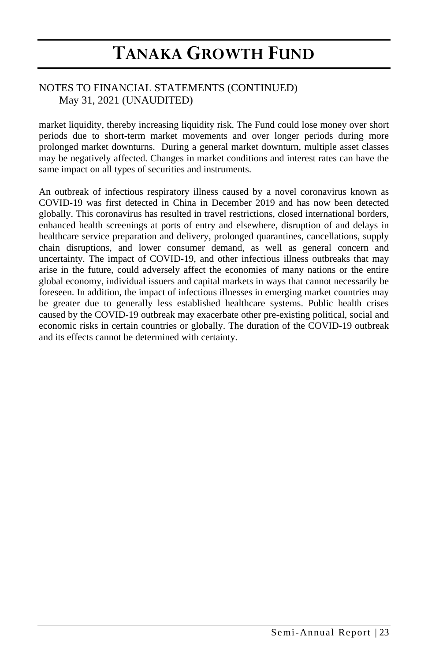## NOTES TO FINANCIAL STATEMENTS (CONTINUED) May 31, 2021 (UNAUDITED)

market liquidity, thereby increasing liquidity risk. The Fund could lose money over short periods due to short-term market movements and over longer periods during more prolonged market downturns. During a general market downturn, multiple asset classes may be negatively affected. Changes in market conditions and interest rates can have the same impact on all types of securities and instruments.

An outbreak of infectious respiratory illness caused by a novel coronavirus known as COVID-19 was first detected in China in December 2019 and has now been detected globally. This coronavirus has resulted in travel restrictions, closed international borders, enhanced health screenings at ports of entry and elsewhere, disruption of and delays in healthcare service preparation and delivery, prolonged quarantines, cancellations, supply chain disruptions, and lower consumer demand, as well as general concern and uncertainty. The impact of COVID-19, and other infectious illness outbreaks that may arise in the future, could adversely affect the economies of many nations or the entire global economy, individual issuers and capital markets in ways that cannot necessarily be foreseen. In addition, the impact of infectious illnesses in emerging market countries may be greater due to generally less established healthcare systems. Public health crises caused by the COVID-19 outbreak may exacerbate other pre-existing political, social and economic risks in certain countries or globally. The duration of the COVID-19 outbreak and its effects cannot be determined with certainty.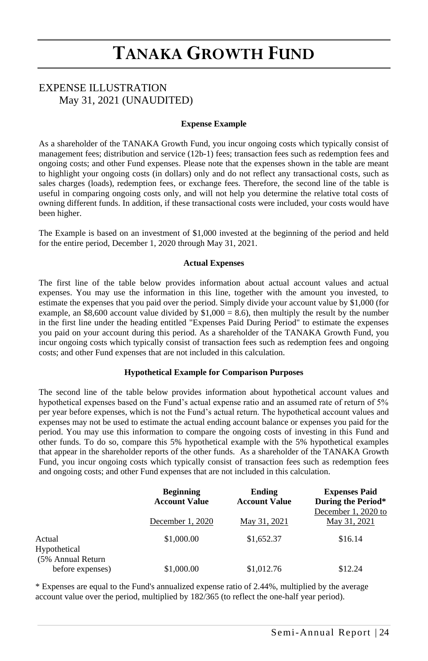## EXPENSE ILLUSTRATION May 31, 2021 (UNAUDITED)

#### **Expense Example**

As a shareholder of the TANAKA Growth Fund, you incur ongoing costs which typically consist of management fees; distribution and service (12b-1) fees; transaction fees such as redemption fees and ongoing costs; and other Fund expenses. Please note that the expenses shown in the table are meant to highlight your ongoing costs (in dollars) only and do not reflect any transactional costs, such as sales charges (loads), redemption fees, or exchange fees. Therefore, the second line of the table is useful in comparing ongoing costs only, and will not help you determine the relative total costs of owning different funds. In addition, if these transactional costs were included, your costs would have been higher.

The Example is based on an investment of \$1,000 invested at the beginning of the period and held for the entire period, December 1, 2020 through May 31, 2021.

#### **Actual Expenses**

The first line of the table below provides information about actual account values and actual expenses. You may use the information in this line, together with the amount you invested, to estimate the expenses that you paid over the period. Simply divide your account value by \$1,000 (for example, an \$8,600 account value divided by  $$1,000 = 8.6$ ), then multiply the result by the number in the first line under the heading entitled "Expenses Paid During Period" to estimate the expenses you paid on your account during this period. As a shareholder of the TANAKA Growth Fund, you incur ongoing costs which typically consist of transaction fees such as redemption fees and ongoing costs; and other Fund expenses that are not included in this calculation.

#### **Hypothetical Example for Comparison Purposes**

The second line of the table below provides information about hypothetical account values and hypothetical expenses based on the Fund's actual expense ratio and an assumed rate of return of 5% per year before expenses, which is not the Fund's actual return. The hypothetical account values and expenses may not be used to estimate the actual ending account balance or expenses you paid for the period. You may use this information to compare the ongoing costs of investing in this Fund and other funds. To do so, compare this 5% hypothetical example with the 5% hypothetical examples that appear in the shareholder reports of the other funds. As a shareholder of the TANAKA Growth Fund, you incur ongoing costs which typically consist of transaction fees such as redemption fees and ongoing costs; and other Fund expenses that are not included in this calculation.

|                                             | <b>Beginning</b><br><b>Account Value</b> | Ending<br><b>Account Value</b> | <b>Expenses Paid</b><br>During the Period* |
|---------------------------------------------|------------------------------------------|--------------------------------|--------------------------------------------|
|                                             | December 1, 2020                         | May 31, 2021                   | December 1, 2020 to<br>May 31, 2021        |
| Actual<br>Hypothetical<br>(5% Annual Return | \$1,000.00                               | \$1,652.37                     | \$16.14                                    |
| before expenses)                            | \$1,000.00                               | \$1,012.76                     | \$12.24                                    |

\* Expenses are equal to the Fund's annualized expense ratio of 2.44%, multiplied by the average account value over the period, multiplied by 182/365 (to reflect the one-half year period).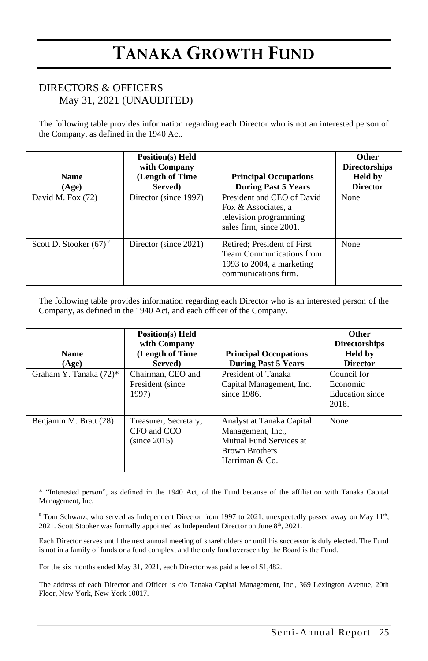### DIRECTORS & OFFICERS May 31, 2021 (UNAUDITED)

The following table provides information regarding each Director who is not an interested person of the Company, as defined in the 1940 Act.

| <b>Name</b><br>(Age)      | <b>Position(s)</b> Held<br>with Company<br>(Length of Time<br>Served) | <b>Principal Occupations</b><br><b>During Past 5 Years</b>                                                             | Other<br><b>Directorships</b><br><b>Held by</b><br><b>Director</b> |
|---------------------------|-----------------------------------------------------------------------|------------------------------------------------------------------------------------------------------------------------|--------------------------------------------------------------------|
| David M. Fox (72)         | Director (since 1997)                                                 | President and CEO of David<br>Fox & Associates, a<br>television programming<br>sales firm, since 2001.                 | None                                                               |
| Scott D. Stooker $(67)^*$ | Director (since 2021)                                                 | Retired; President of First<br><b>Team Communications from</b><br>1993 to $2004$ , a marketing<br>communications firm. | None                                                               |

The following table provides information regarding each Director who is an interested person of the Company, as defined in the 1940 Act, and each officer of the Company.

| <b>Name</b><br>(Age)   | <b>Position(s)</b> Held<br>with Company<br>(Length of Time<br>Served) | <b>Principal Occupations</b><br><b>During Past 5 Years</b>                                                           | <b>Other</b><br><b>Directorships</b><br><b>Held</b> by<br><b>Director</b> |
|------------------------|-----------------------------------------------------------------------|----------------------------------------------------------------------------------------------------------------------|---------------------------------------------------------------------------|
| Graham Y. Tanaka (72)* | Chairman, CEO and<br>President (since)<br>1997)                       | President of Tanaka<br>Capital Management, Inc.<br>since 1986.                                                       | Council for<br>Economic<br>Education since<br>2018.                       |
| Benjamin M. Bratt (28) | Treasurer, Secretary,<br>CFO and CCO<br>(since 2015)                  | Analyst at Tanaka Capital<br>Management, Inc.,<br>Mutual Fund Services at<br><b>Brown Brothers</b><br>Harriman & Co. | None                                                                      |

\* "Interested person", as defined in the 1940 Act, of the Fund because of the affiliation with Tanaka Capital Management, Inc.

 $*$  Tom Schwarz, who served as Independent Director from 1997 to 2021, unexpectedly passed away on May 11<sup>th</sup>, 2021. Scott Stooker was formally appointed as Independent Director on June 8<sup>th</sup>, 2021.

Each Director serves until the next annual meeting of shareholders or until his successor is duly elected. The Fund is not in a family of funds or a fund complex, and the only fund overseen by the Board is the Fund.

For the six months ended May 31, 2021, each Director was paid a fee of \$1,482.

The address of each Director and Officer is c/o Tanaka Capital Management, Inc., 369 Lexington Avenue, 20th Floor, New York, New York 10017.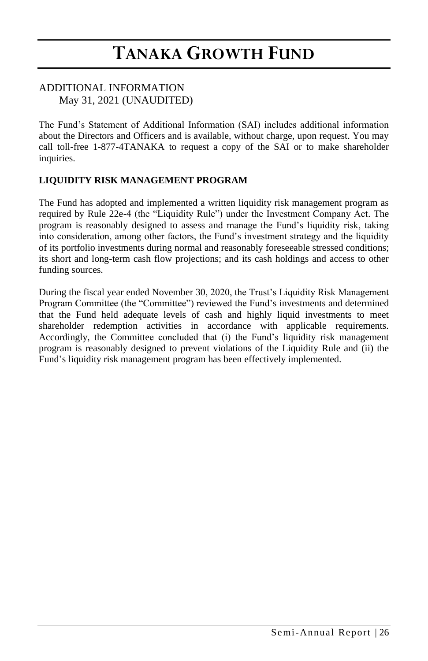### ADDITIONAL INFORMATION May 31, 2021 (UNAUDITED)

The Fund's Statement of Additional Information (SAI) includes additional information about the Directors and Officers and is available, without charge, upon request. You may call toll-free 1-877-4TANAKA to request a copy of the SAI or to make shareholder inquiries.

### **LIQUIDITY RISK MANAGEMENT PROGRAM**

The Fund has adopted and implemented a written liquidity risk management program as required by Rule 22e-4 (the "Liquidity Rule") under the Investment Company Act. The program is reasonably designed to assess and manage the Fund's liquidity risk, taking into consideration, among other factors, the Fund's investment strategy and the liquidity of its portfolio investments during normal and reasonably foreseeable stressed conditions; its short and long-term cash flow projections; and its cash holdings and access to other funding sources.

During the fiscal year ended November 30, 2020, the Trust's Liquidity Risk Management Program Committee (the "Committee") reviewed the Fund's investments and determined that the Fund held adequate levels of cash and highly liquid investments to meet shareholder redemption activities in accordance with applicable requirements. Accordingly, the Committee concluded that (i) the Fund's liquidity risk management program is reasonably designed to prevent violations of the Liquidity Rule and (ii) the Fund's liquidity risk management program has been effectively implemented.